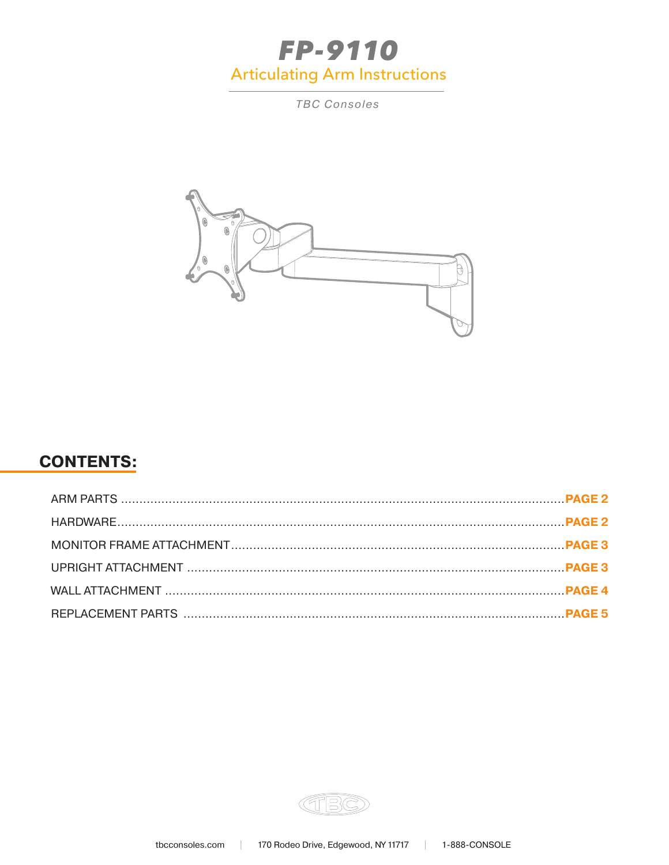# **FP-9110 Articulating Arm Instructions**

**TBC Consoles** 



## **CONTENTS:**

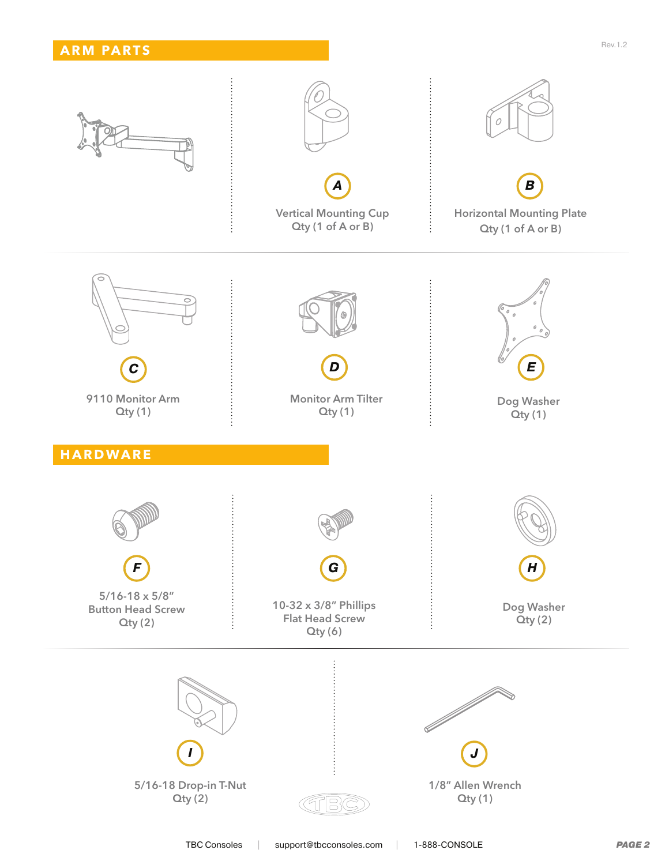

TBC Consoles | support@tbcconsoles.com | 1-888-CONSOLE *PAGE 2*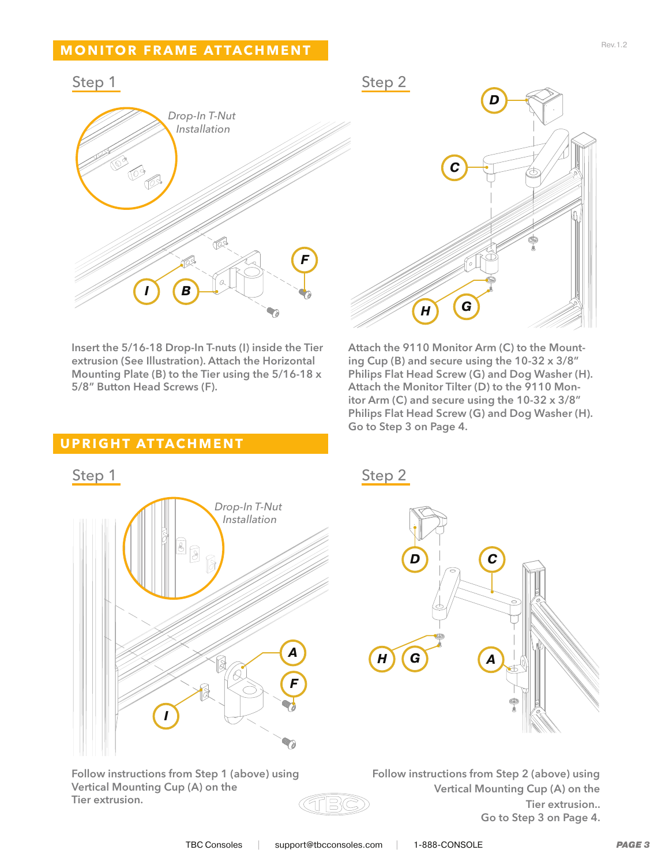### **MONITOR FRAME ATTACHMENT**



Insert the 5/16-18 Drop-In T-nuts (I) inside the Tier extrusion (See Illustration). Attach the Horizontal Mounting Plate (B) to the Tier using the 5/16-18 x 5/8" Button Head Screws (F).



Attach the 9110 Monitor Arm (C) to the Mounting Cup (B) and secure using the 10-32 x 3/8" Philips Flat Head Screw (G) and Dog Washer (H). Attach the Monitor Tilter (D) to the 9110 Monitor Arm (C) and secure using the 10-32 x 3/8" Philips Flat Head Screw (G) and Dog Washer (H). Go to Step 3 on Page 4.

#### **UPRIGHT ATTACHMENT**



Follow instructions from Step 1 (above) using Vertical Mounting Cup (A) on the Tier extrusion.



Follow instructions from Step 2 (above) using Vertical Mounting Cup (A) on the Tier extrusion.. Go to Step 3 on Page 4.

TF S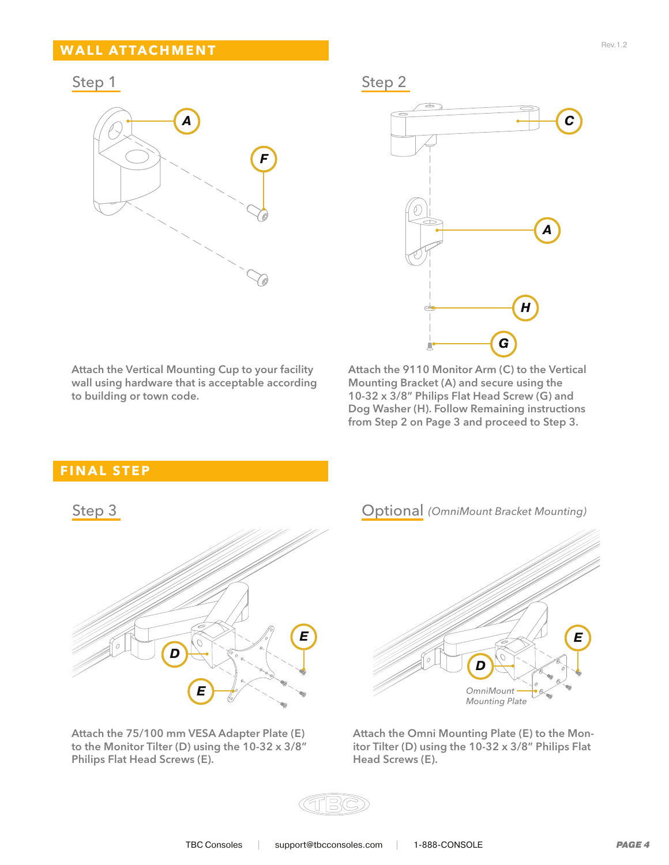#### **WALL ATTACHMENT**



Step 1 Step 2



Attach the Vertical Mounting Cup to your facility wall using hardware that is acceptable according to building or town code.

Attach the 9110 Monitor Arm (C) to the Vertical Mounting Bracket (A) and secure using the 10-32 x 3/8" Philips Flat Head Screw (G) and Dog Washer (H). Follow Remaining instructions from Step 2 on Page 3 and proceed to Step 3.

#### **FINAL STEP**



Attach the 75/100 mm VESA Adapter Plate (E) to the Monitor Tilter (D) using the 10-32 x 3/8" Philips Flat Head Screws (E).



Attach the Omni Mounting Plate (E) to the Monitor Tilter (D) using the 10-32 x 3/8" Philips Flat Head Screws (E).